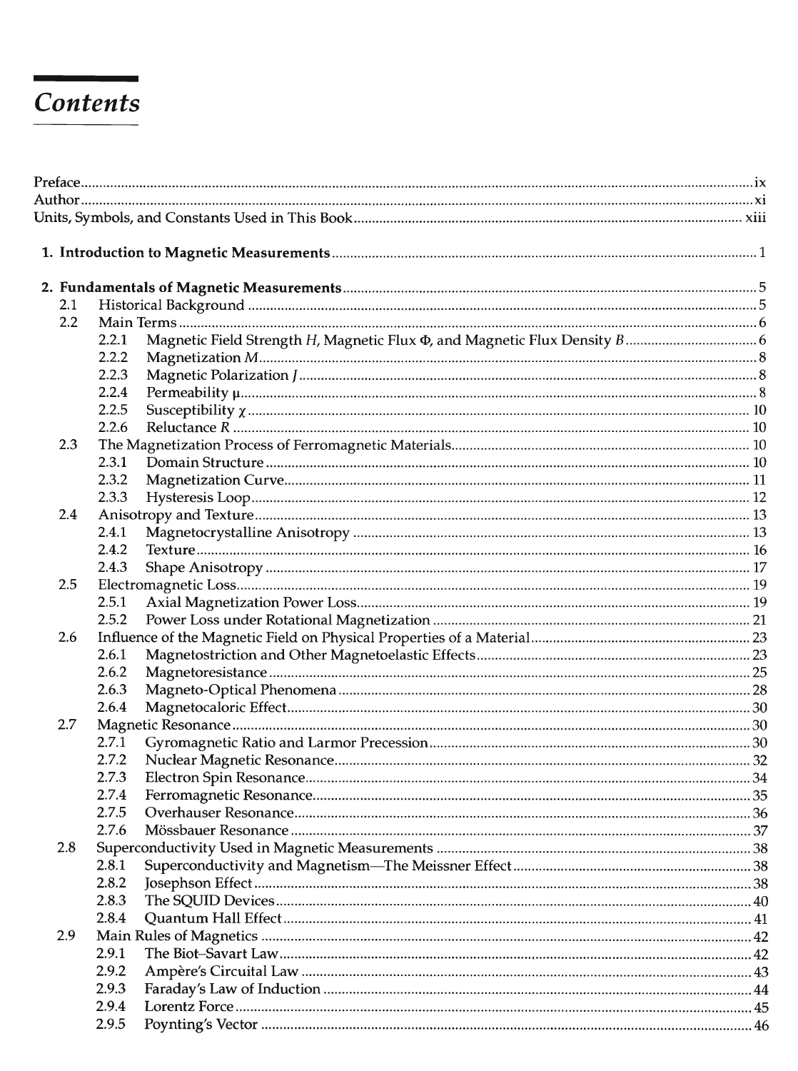## Contents

| 2.1 |       |  |  |  |  |  |
|-----|-------|--|--|--|--|--|
| 2.2 |       |  |  |  |  |  |
|     | 2.2.1 |  |  |  |  |  |
|     | 2.2.2 |  |  |  |  |  |
|     | 2.2.3 |  |  |  |  |  |
|     | 2.2.4 |  |  |  |  |  |
|     | 2.2.5 |  |  |  |  |  |
|     | 2.2.6 |  |  |  |  |  |
| 2.3 |       |  |  |  |  |  |
|     | 2.3.1 |  |  |  |  |  |
|     | 2.3.2 |  |  |  |  |  |
|     | 2.3.3 |  |  |  |  |  |
| 2.4 |       |  |  |  |  |  |
|     | 2.4.1 |  |  |  |  |  |
|     | 2.4.2 |  |  |  |  |  |
|     | 2.4.3 |  |  |  |  |  |
| 2.5 |       |  |  |  |  |  |
|     | 2.5.1 |  |  |  |  |  |
| 2.6 | 2.5.2 |  |  |  |  |  |
|     | 2.6.1 |  |  |  |  |  |
|     | 2.6.2 |  |  |  |  |  |
|     | 2.6.3 |  |  |  |  |  |
|     | 2.6.4 |  |  |  |  |  |
| 2.7 |       |  |  |  |  |  |
|     | 2.7.1 |  |  |  |  |  |
|     | 2.7.2 |  |  |  |  |  |
|     | 2.7.3 |  |  |  |  |  |
|     | 2.7.4 |  |  |  |  |  |
|     | 2.7.5 |  |  |  |  |  |
|     | 2.7.6 |  |  |  |  |  |
| 2.8 |       |  |  |  |  |  |
|     | 2.8.1 |  |  |  |  |  |
|     | 2.8.2 |  |  |  |  |  |
|     | 2.8.3 |  |  |  |  |  |
|     | 2.8.4 |  |  |  |  |  |
| 2.9 |       |  |  |  |  |  |
|     | 2.9.1 |  |  |  |  |  |
|     | 2.9.2 |  |  |  |  |  |
|     | 2.9.3 |  |  |  |  |  |
|     | 2.9.4 |  |  |  |  |  |
|     | 2.9.5 |  |  |  |  |  |
|     |       |  |  |  |  |  |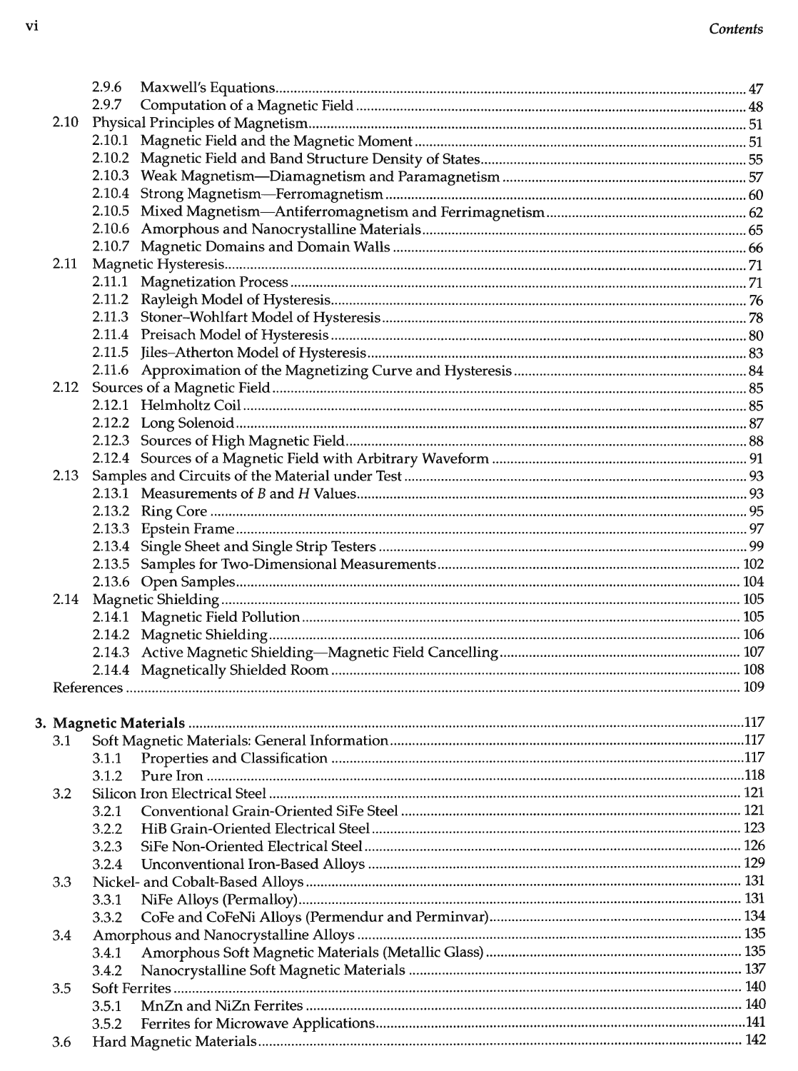|      | 2.9.6 |  |
|------|-------|--|
|      | 2.9.7 |  |
| 2.10 |       |  |
|      |       |  |
|      |       |  |
|      |       |  |
|      |       |  |
|      |       |  |
|      |       |  |
|      |       |  |
| 2.11 |       |  |
|      |       |  |
|      |       |  |
|      |       |  |
|      |       |  |
|      |       |  |
|      |       |  |
|      |       |  |
|      |       |  |
|      |       |  |
|      |       |  |
|      |       |  |
| 2.13 |       |  |
|      |       |  |
|      |       |  |
|      |       |  |
|      |       |  |
|      |       |  |
|      |       |  |
| 2.14 |       |  |
|      |       |  |
|      |       |  |
|      |       |  |
|      |       |  |
|      |       |  |
|      |       |  |
|      |       |  |
| 3.1  |       |  |
|      | 3.1.1 |  |
|      | 3.1.2 |  |
| 3.2  |       |  |
|      | 3.2.1 |  |
|      | 3.2.2 |  |
|      | 3.2.3 |  |
|      | 3.2.4 |  |
| 3.3  |       |  |
|      | 3.3.1 |  |
|      | 3.3.2 |  |
| 3.4  |       |  |
|      | 3.4.1 |  |
|      | 3.4.2 |  |
| 3.5  |       |  |
|      | 3.5.1 |  |
|      | 3.5.2 |  |
| 3.6  |       |  |
|      |       |  |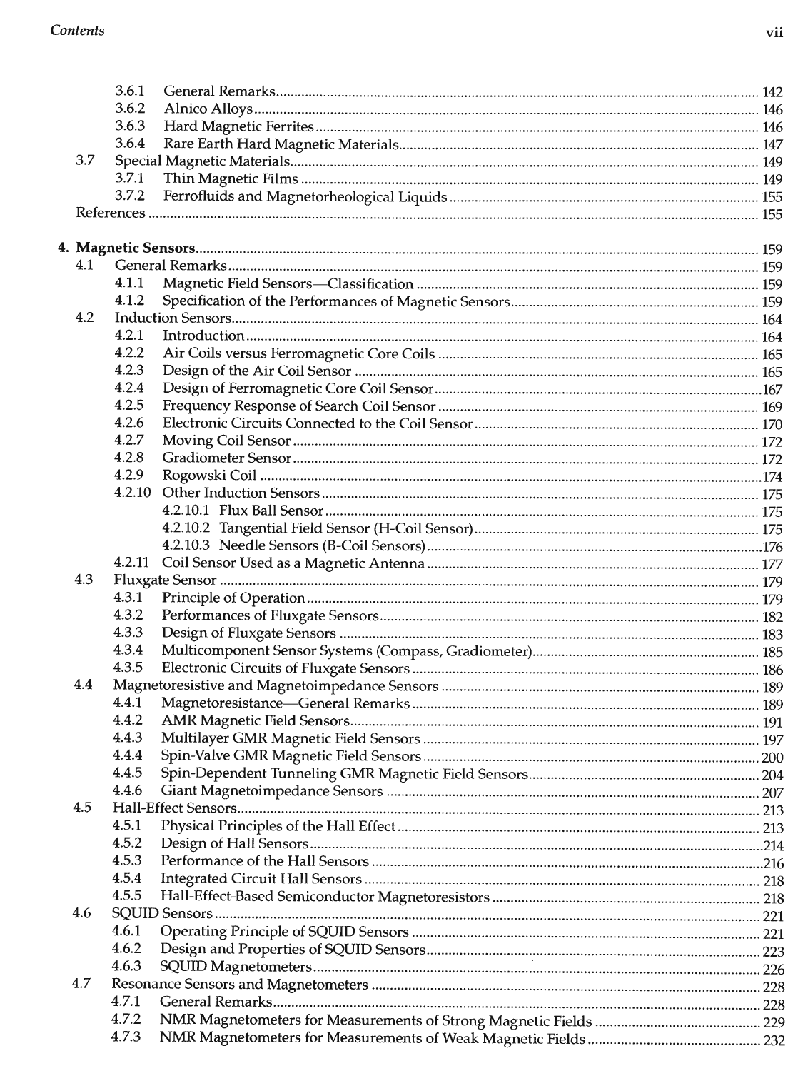|     | 3.6.1  |  |  |  |  |  |  |
|-----|--------|--|--|--|--|--|--|
|     | 3.6.2  |  |  |  |  |  |  |
|     | 3.6.3  |  |  |  |  |  |  |
|     | 3.6.4  |  |  |  |  |  |  |
| 3.7 |        |  |  |  |  |  |  |
|     | 3.7.1  |  |  |  |  |  |  |
|     | 3.7.2  |  |  |  |  |  |  |
|     |        |  |  |  |  |  |  |
|     |        |  |  |  |  |  |  |
|     |        |  |  |  |  |  |  |
| 4.1 |        |  |  |  |  |  |  |
|     | 4.1.1  |  |  |  |  |  |  |
|     | 4.1.2  |  |  |  |  |  |  |
| 4.2 |        |  |  |  |  |  |  |
|     | 4.2.1  |  |  |  |  |  |  |
|     | 4.2.2  |  |  |  |  |  |  |
|     | 4.2.3  |  |  |  |  |  |  |
|     | 4.2.4  |  |  |  |  |  |  |
|     | 4.2.5  |  |  |  |  |  |  |
|     | 4.2.6  |  |  |  |  |  |  |
|     | 4.2.7  |  |  |  |  |  |  |
|     | 4.2.8  |  |  |  |  |  |  |
|     | 4.2.9  |  |  |  |  |  |  |
|     | 4.2.10 |  |  |  |  |  |  |
|     |        |  |  |  |  |  |  |
|     |        |  |  |  |  |  |  |
|     |        |  |  |  |  |  |  |
|     | 4.2.11 |  |  |  |  |  |  |
| 4.3 |        |  |  |  |  |  |  |
|     | 4.3.1  |  |  |  |  |  |  |
|     | 4.3.2  |  |  |  |  |  |  |
|     | 4.3.3  |  |  |  |  |  |  |
|     | 4.3.4  |  |  |  |  |  |  |
|     | 4.3.5  |  |  |  |  |  |  |
| 4.4 |        |  |  |  |  |  |  |
|     | 4.4.1  |  |  |  |  |  |  |
|     | 4.4.2  |  |  |  |  |  |  |
|     | 4.4.3  |  |  |  |  |  |  |
|     | 4.4.4  |  |  |  |  |  |  |
|     | 4.4.5  |  |  |  |  |  |  |
|     | 4.4.6  |  |  |  |  |  |  |
| 4.5 |        |  |  |  |  |  |  |
|     | 4.5.1  |  |  |  |  |  |  |
|     | 4.5.2  |  |  |  |  |  |  |
|     | 4.5.3  |  |  |  |  |  |  |
|     | 4.5.4  |  |  |  |  |  |  |
|     | 4.5.5  |  |  |  |  |  |  |
| 4.6 |        |  |  |  |  |  |  |
|     | 4.6.1  |  |  |  |  |  |  |
|     | 4.6.2  |  |  |  |  |  |  |
|     | 4.6.3  |  |  |  |  |  |  |
| 4.7 |        |  |  |  |  |  |  |
|     | 4.7.1  |  |  |  |  |  |  |
|     | 4.7.2  |  |  |  |  |  |  |
|     | 4.7.3  |  |  |  |  |  |  |
|     |        |  |  |  |  |  |  |